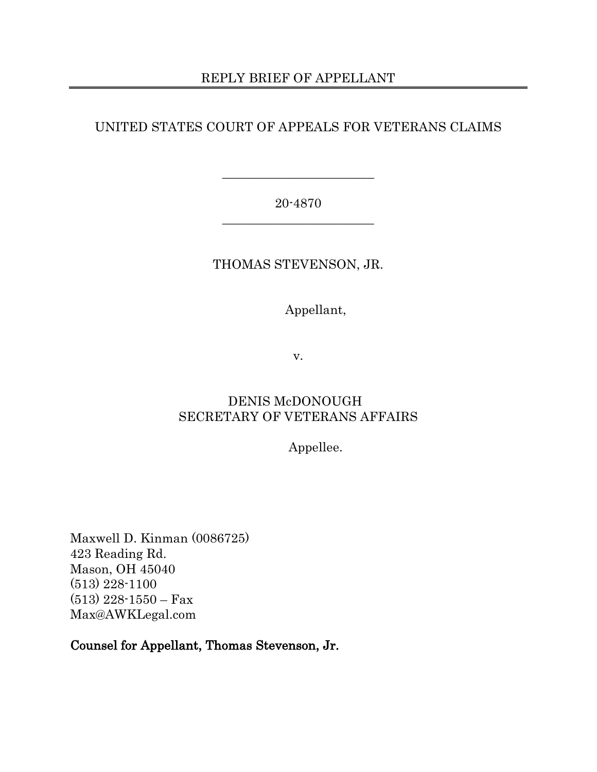## REPLY BRIEF OF APPELLANT

## UNITED STATES COURT OF APPEALS FOR VETERANS CLAIMS

## 20-4870 \_\_\_\_\_\_\_\_\_\_\_\_\_\_\_\_\_\_\_\_\_\_\_\_

\_\_\_\_\_\_\_\_\_\_\_\_\_\_\_\_\_\_\_\_\_\_\_\_

## THOMAS STEVENSON, JR.

## Appellant,

v.

## DENIS McDONOUGH SECRETARY OF VETERANS AFFAIRS

Appellee.

Maxwell D. Kinman (0086725) 423 Reading Rd. Mason, OH 45040 (513) 228-1100 (513) 228-1550 – Fax Max@AWKLegal.com

Counsel for Appellant, Thomas Stevenson, Jr.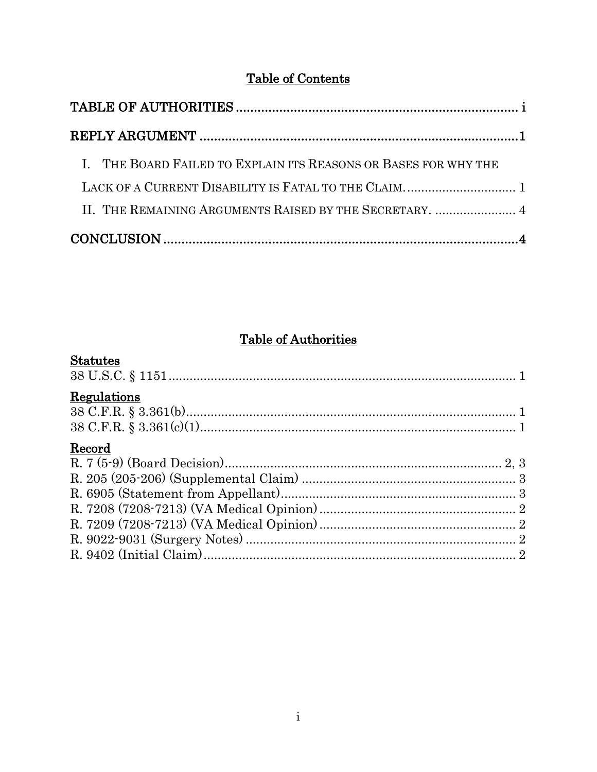## **Table of Contents**

| I. THE BOARD FAILED TO EXPLAIN ITS REASONS OR BASES FOR WHY THE |  |
|-----------------------------------------------------------------|--|
|                                                                 |  |
| II. THE REMAINING ARGUMENTS RAISED BY THE SECRETARY.  4         |  |
|                                                                 |  |

## **Table of Authorities**

## <span id="page-1-0"></span>**Statutes**

| Regulations |  |
|-------------|--|
|             |  |
| Record      |  |
|             |  |
|             |  |
|             |  |
|             |  |
|             |  |
|             |  |
|             |  |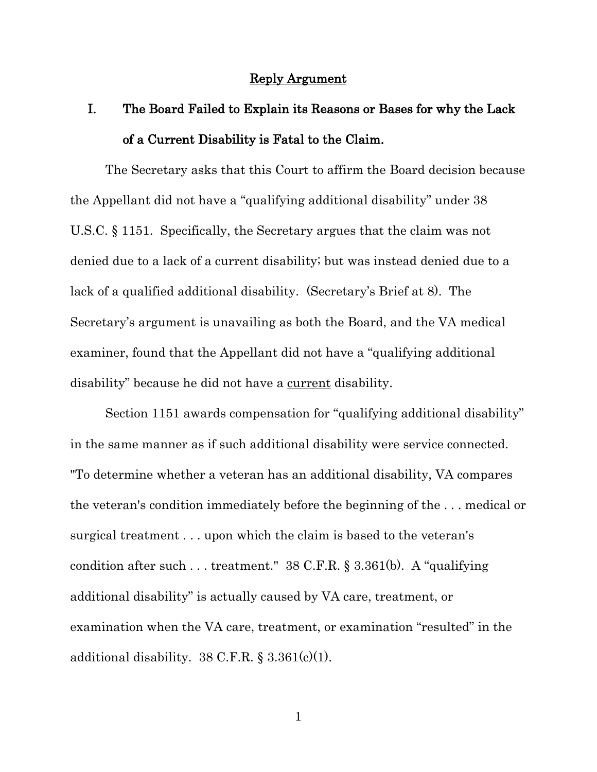#### Reply Argument

# <span id="page-2-1"></span><span id="page-2-0"></span>I. The Board Failed to Explain its Reasons or Bases for why the Lack of a Current Disability is Fatal to the Claim.

The Secretary asks that this Court to affirm the Board decision because the Appellant did not have a "qualifying additional disability" under 38 U.S.C. § 1151. Specifically, the Secretary argues that the claim was not denied due to a lack of a current disability; but was instead denied due to a lack of a qualified additional disability. (Secretary's Brief at 8). The Secretary's argument is unavailing as both the Board, and the VA medical examiner, found that the Appellant did not have a "qualifying additional disability" because he did not have a current disability.

Section 1151 awards compensation for "qualifying additional disability" in the same manner as if such additional disability were service connected. "To determine whether a veteran has an additional disability, VA compares the veteran's condition immediately before the beginning of the . . . medical or surgical treatment . . . upon which the claim is based to the veteran's condition after such . . . treatment." 38 C.F.R. § 3.361(b). A "qualifying additional disability" is actually caused by VA care, treatment, or examination when the VA care, treatment, or examination "resulted" in the additional disability.  $38 \text{ C.F.R.}$  §  $3.361 \text{(c)}$ (1).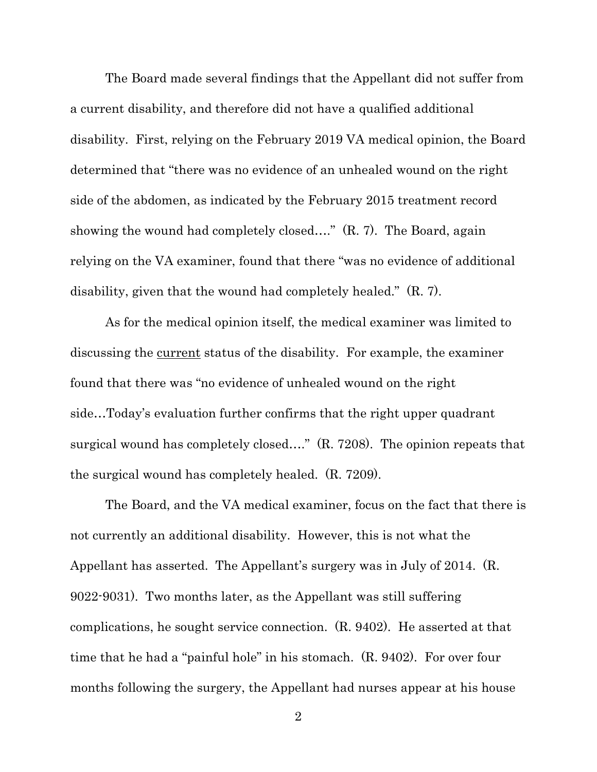The Board made several findings that the Appellant did not suffer from a current disability, and therefore did not have a qualified additional disability. First, relying on the February 2019 VA medical opinion, the Board determined that "there was no evidence of an unhealed wound on the right side of the abdomen, as indicated by the February 2015 treatment record showing the wound had completely closed...." (R. 7). The Board, again relying on the VA examiner, found that there "was no evidence of additional disability, given that the wound had completely healed." (R. 7).

As for the medical opinion itself, the medical examiner was limited to discussing the <u>current</u> status of the disability. For example, the examiner found that there was "no evidence of unhealed wound on the right side…Today's evaluation further confirms that the right upper quadrant surgical wound has completely closed...." (R. 7208). The opinion repeats that the surgical wound has completely healed. (R. 7209).

The Board, and the VA medical examiner, focus on the fact that there is not currently an additional disability. However, this is not what the Appellant has asserted. The Appellant's surgery was in July of 2014. (R. 9022-9031). Two months later, as the Appellant was still suffering complications, he sought service connection. (R. 9402). He asserted at that time that he had a "painful hole" in his stomach. (R. 9402). For over four months following the surgery, the Appellant had nurses appear at his house

2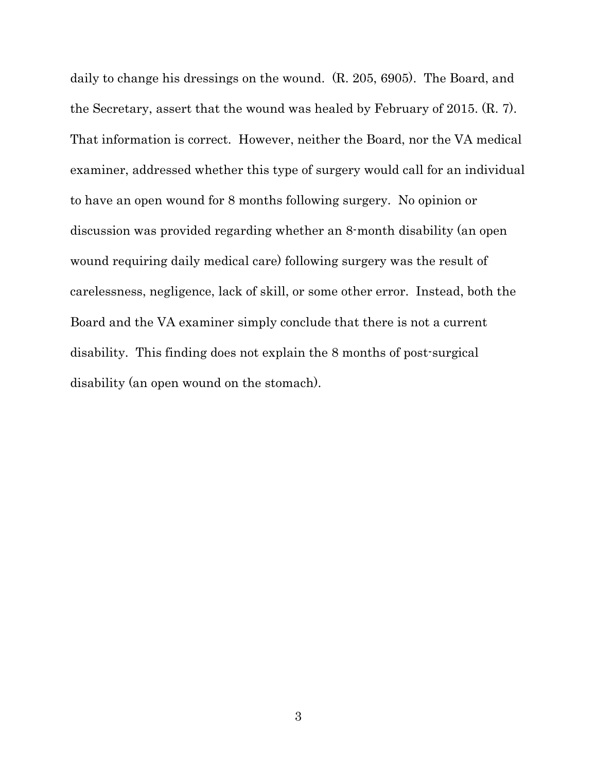daily to change his dressings on the wound. (R. 205, 6905). The Board, and the Secretary, assert that the wound was healed by February of 2015. (R. 7). That information is correct. However, neither the Board, nor the VA medical examiner, addressed whether this type of surgery would call for an individual to have an open wound for 8 months following surgery. No opinion or discussion was provided regarding whether an 8-month disability (an open wound requiring daily medical care) following surgery was the result of carelessness, negligence, lack of skill, or some other error. Instead, both the Board and the VA examiner simply conclude that there is not a current disability. This finding does not explain the 8 months of post-surgical disability (an open wound on the stomach).